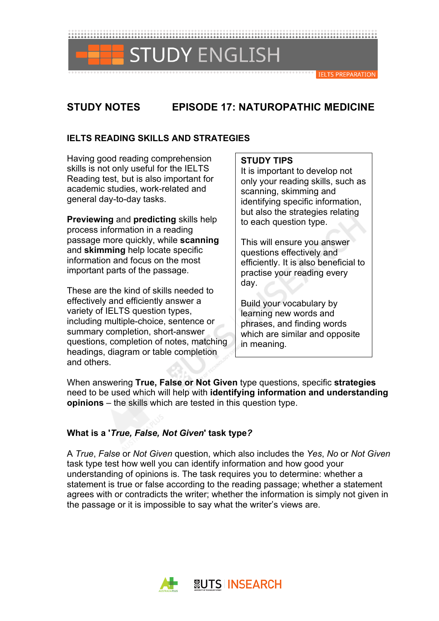

# **STUDY NOTES EPISODE 17: NATUROPATHIC MEDICINE**

# **IELTS READING SKILLS AND STRATEGIES**

Having good reading comprehension skills is not only useful for the IELTS Reading test, but is also important for academic studies, work-related and general day-to-day tasks.

**Previewing** and **predicting** skills help process information in a reading passage more quickly, while **scanning** and **skimming** help locate specific information and focus on the most important parts of the passage.

These are the kind of skills needed to effectively and efficiently answer a variety of IELTS question types, including multiple-choice, sentence or summary completion, short-answer questions, completion of notes, matching headings, diagram or table completion and others.

### **STUDY TIPS**

It is important to develop not only your reading skills, such as scanning, skimming and identifying specific information, but also the strategies relating to each question type.

This will ensure you answer questions effectively and efficiently. It is also beneficial to practise your reading every day.

Build your vocabulary by learning new words and phrases, and finding words which are similar and opposite in meaning.

When answering **True, False or Not Given** type questions, specific **strategies** need to be used which will help with **identifying information and understanding opinions** – the skills which are tested in this question type.

# **What is a '***True, False, Not Given***' task type***?*

A *True*, *False* or *Not Given* question, which also includes the *Yes*, *No* or *Not Given* task type test how well you can identify information and how good your understanding of opinions is. The task requires you to determine: whether a statement is true or false according to the reading passage; whether a statement agrees with or contradicts the writer; whether the information is simply not given in the passage or it is impossible to say what the writer's views are.

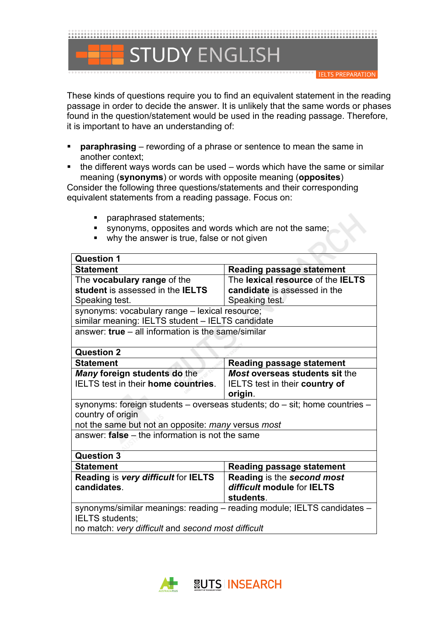

These kinds of questions require you to find an equivalent statement in the reading passage in order to decide the answer. It is unlikely that the same words or phases found in the question/statement would be used in the reading passage. Therefore, it is important to have an understanding of:

- **paraphrasing** rewording of a phrase or sentence to mean the same in another context;
- $\blacksquare$  the different ways words can be used words which have the same or similar meaning (**synonyms**) or words with opposite meaning (**opposites**)

Consider the following three questions/statements and their corresponding equivalent statements from a reading passage. Focus on:

- § paraphrased statements;
- § synonyms, opposites and words which are not the same;
- why the answer is true, false or not given

| <b>Question 1</b>                                                             |                                          |  |  |
|-------------------------------------------------------------------------------|------------------------------------------|--|--|
| <b>Statement</b>                                                              | <b>Reading passage statement</b>         |  |  |
| The <b>vocabulary range</b> of the                                            | The lexical resource of the <b>IELTS</b> |  |  |
| student is assessed in the IELTS                                              | candidate is assessed in the             |  |  |
| Speaking test.                                                                | Speaking test.                           |  |  |
| synonyms: vocabulary range - lexical resource;                                |                                          |  |  |
| similar meaning: IELTS student - IELTS candidate                              |                                          |  |  |
| answer: $true - all information is the same/similar$                          |                                          |  |  |
|                                                                               |                                          |  |  |
| <b>Question 2</b>                                                             |                                          |  |  |
| <b>Statement</b>                                                              | <b>Reading passage statement</b>         |  |  |
| Many foreign students do the                                                  | <b>Most overseas students sit the</b>    |  |  |
| <b>IELTS</b> test in their <b>home countries</b> .                            | IELTS test in their country of           |  |  |
|                                                                               | origin.                                  |  |  |
| synonyms: foreign students – overseas students; $do - sit$ ; home countries – |                                          |  |  |
| country of origin                                                             |                                          |  |  |
| not the same but not an opposite: many versus most                            |                                          |  |  |
| answer: $false - the information is not the same$                             |                                          |  |  |
|                                                                               |                                          |  |  |
| <b>Question 3</b>                                                             |                                          |  |  |
| <b>Statement</b>                                                              | <b>Reading passage statement</b>         |  |  |
| Reading is very difficult for IELTS                                           | Reading is the second most               |  |  |
| candidates.                                                                   | difficult module for IELTS               |  |  |
|                                                                               | students.                                |  |  |
| synonyms/similar meanings: reading - reading module; IELTS candidates -       |                                          |  |  |
| <b>IELTS</b> students;                                                        |                                          |  |  |
| no match: very difficult and second most difficult                            |                                          |  |  |

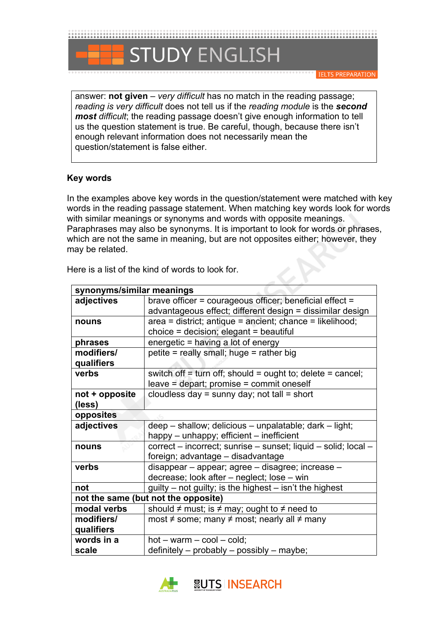

**IELTS PREPARATION** 

answer: **not given** – *very difficult* has no match in the reading passage; *reading is very difficult* does not tell us if the *reading module* is the *second most difficult*; the reading passage doesn't give enough information to tell us the question statement is true. Be careful, though, because there isn't enough relevant information does not necessarily mean the question/statement is false either.

### **Key words**

In the examples above key words in the question/statement were matched with key words in the reading passage statement. When matching key words look for words with similar meanings or synonyms and words with opposite meanings. Paraphrases may also be synonyms. It is important to look for words or phrases, which are not the same in meaning, but are not opposites either; however, they may be related.

| synonyms/similar meanings |                                                                |  |  |  |
|---------------------------|----------------------------------------------------------------|--|--|--|
| adjectives                | brave officer = courageous officer; beneficial effect =        |  |  |  |
|                           | advantageous effect; different design = dissimilar design      |  |  |  |
| nouns                     | area = district; antique = ancient; chance = likelihood;       |  |  |  |
|                           | choice = decision; elegant = beautiful                         |  |  |  |
| phrases                   | energetic = having a lot of energy                             |  |  |  |
| modifiers/                | petite = really small; huge = rather big                       |  |  |  |
| qualifiers                |                                                                |  |  |  |
| verbs                     | switch off = turn off; should = ought to; delete = cancel;     |  |  |  |
|                           | leave = depart; promise = commit oneself                       |  |  |  |
| not + opposite            | cloudless day = sunny day; not tall = short                    |  |  |  |
| (less)                    |                                                                |  |  |  |
| opposites                 |                                                                |  |  |  |
| adjectives                | deep - shallow; delicious - unpalatable; dark - light;         |  |  |  |
|                           | happy - unhappy; efficient - inefficient                       |  |  |  |
| nouns                     | correct – incorrect; sunrise – sunset; liquid – solid; local – |  |  |  |
|                           | foreign; advantage - disadvantage                              |  |  |  |
| verbs                     | disappear - appear; agree - disagree; increase -               |  |  |  |
|                           | decrease; look after – neglect; lose – win                     |  |  |  |
| not                       | $g$ uilty – not guilty; is the highest – isn't the highest     |  |  |  |
|                           | not the same (but not the opposite)                            |  |  |  |
| modal verbs               | should $\neq$ must; is $\neq$ may; ought to $\neq$ need to     |  |  |  |
| modifiers/                | most $\neq$ some; many $\neq$ most; nearly all $\neq$ many     |  |  |  |
| qualifiers                |                                                                |  |  |  |
| words in a                | $hot - warm - cool - cold;$                                    |  |  |  |
| scale                     | definitely - probably - possibly - maybe;                      |  |  |  |

Here is a list of the kind of words to look for.

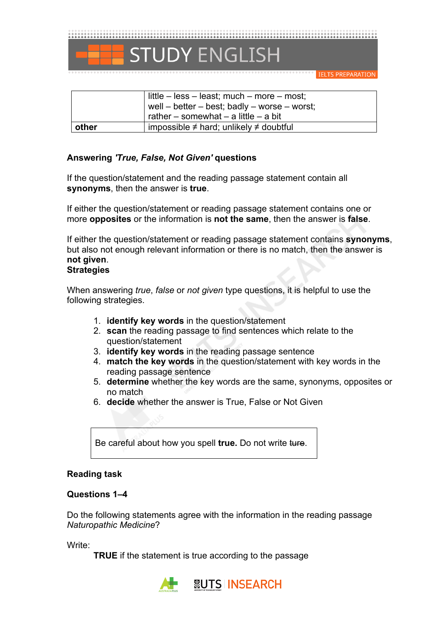

**IELTS PREPARATION** 

|       | little $-$ less $-$ least; much $-$ more $-$ most;<br>well – better – best; badly – worse – worst;<br>rather – somewhat – a little – a bit |
|-------|--------------------------------------------------------------------------------------------------------------------------------------------|
| other | impossible $\neq$ hard; unlikely $\neq$ doubtful                                                                                           |

### **Answering** *'True, False, Not Given'* **questions**

If the question/statement and the reading passage statement contain all **synonyms**, then the answer is **true**.

If either the question/statement or reading passage statement contains one or more **opposites** or the information is **not the same**, then the answer is **false**.

If either the question/statement or reading passage statement contains **synonyms**, but also not enough relevant information or there is no match, then the answer is **not given**.

# **Strategies**

When answering *true*, *false* or *not given* type questions, it is helpful to use the following strategies.

- 1. **identify key words** in the question/statement
- 2. **scan** the reading passage to find sentences which relate to the question/statement
- 3. **identify key words** in the reading passage sentence
- 4. **match the key words** in the question/statement with key words in the reading passage sentence
- 5. **determine** whether the key words are the same, synonyms, opposites or no match
- 6. **decide** whether the answer is True, False or Not Given

Be careful about how you spell **true.** Do not write ture.

### **Reading task**

#### **Questions 1–4**

Do the following statements agree with the information in the reading passage *Naturopathic Medicine*?

Write:

**TRUE** if the statement is true according to the passage

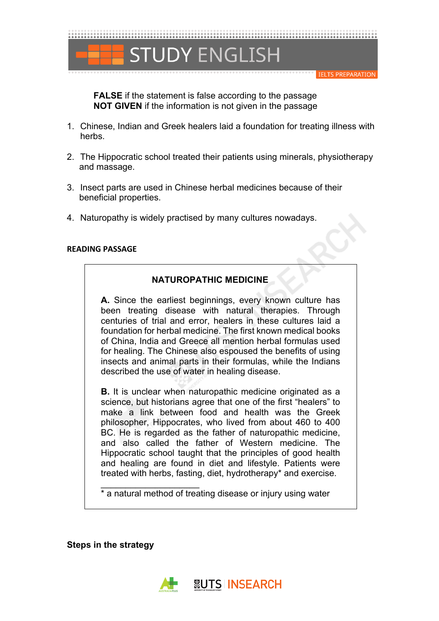

**FALSE** if the statement is false according to the passage **NOT GIVEN** if the information is not given in the passage

- 1. Chinese, Indian and Greek healers laid a foundation for treating illness with herbs.
- 2. The Hippocratic school treated their patients using minerals, physiotherapy and massage.
- 3. Insect parts are used in Chinese herbal medicines because of their beneficial properties.
- 4. Naturopathy is widely practised by many cultures nowadays.

#### **READING PASSAGE**

### **NATUROPATHIC MEDICINE**

**A.** Since the earliest beginnings, every known culture has been treating disease with natural therapies. Through centuries of trial and error, healers in these cultures laid a foundation for herbal medicine. The first known medical books of China, India and Greece all mention herbal formulas used for healing. The Chinese also espoused the benefits of using insects and animal parts in their formulas, while the Indians described the use of water in healing disease.

**B.** It is unclear when naturopathic medicine originated as a science, but historians agree that one of the first "healers" to make a link between food and health was the Greek philosopher, Hippocrates, who lived from about 460 to 400 BC. He is regarded as the father of naturopathic medicine, and also called the father of Western medicine. The Hippocratic school taught that the principles of good health and healing are found in diet and lifestyle. Patients were treated with herbs, fasting, diet, hydrotherapy\* and exercise.

\* a natural method of treating disease or injury using water

**Steps in the strategy**

\_\_\_\_\_\_\_\_\_\_\_\_\_\_\_\_\_\_\_\_

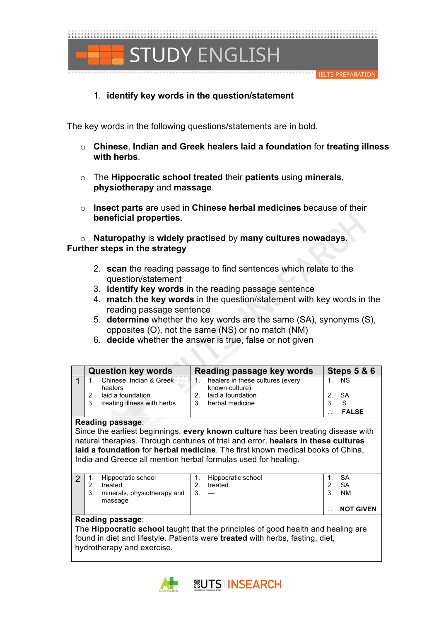

# 1. **identify key words in the question/statement**

The key words in the following questions/statements are in bold.

- o **Chinese**, **Indian and Greek healers laid a foundation** for **treating illness with herbs**.
- o The **Hippocratic school treated** their **patients** using **minerals**, **physiotherapy** and **massage**.
- o **Insect parts** are used in **Chinese herbal medicines** because of their **beneficial properties**.

o **Naturopathy** is **widely practised** by **many cultures nowadays**. **Further steps in the strategy**

- 2. **scan** the reading passage to find sentences which relate to the question/statement
- 3. **identify key words** in the reading passage sentence
- 4. **match the key words** in the question/statement with key words in the reading passage sentence
- 5. **determine** whether the key words are the same (SA), synonyms (S), opposites (O), not the same (NS) or no match (NM)
- 6. **decide** whether the answer is true, false or not given

| <b>Question key words</b>          | Reading passage key words                          | <b>Steps 5 &amp; 6</b> |
|------------------------------------|----------------------------------------------------|------------------------|
| Chinese, Indian & Greek<br>healers | healers in these cultures (every<br>known culture) | <b>NS</b>              |
| 2. laid a foundation               | laid a foundation                                  | 2. SA                  |
| treating illness with herbs<br>3.  | 3. herbal medicine                                 | - S                    |
|                                    |                                                    | <b>FALSE</b>           |

#### **Reading passage**:

Since the earliest beginnings, **every known culture** has been treating disease with natural therapies. Through centuries of trial and error, **healers in these cultures laid a foundation** for **herbal medicine**. The first known medical books of China, India and Greece all mention herbal formulas used for healing.

|  | Hippocratic school<br>treated<br>minerals, physiotherapy and<br>massage | Hippocratic school<br>treated | ົ | SΑ<br>SΑ<br><b>NM</b> |
|--|-------------------------------------------------------------------------|-------------------------------|---|-----------------------|
|  |                                                                         |                               |   | <b>NOT GIVEN</b>      |

#### **Reading passage**:

The **Hippocratic school** taught that the principles of good health and healing are found in diet and lifestyle. Patients were **treated** with herbs, fasting, diet, hydrotherapy and exercise.